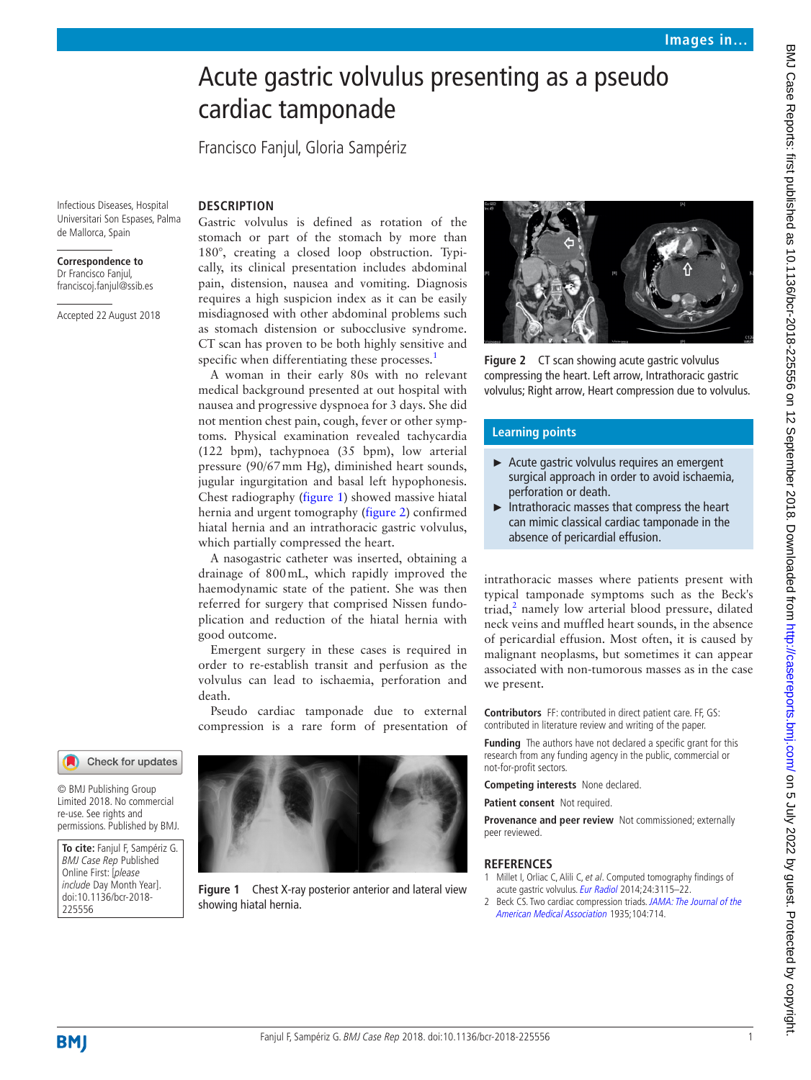## Acute gastric volvulus presenting as a pseudo cardiac tamponade

Francisco Fanjul, Gloria Sampériz

**Description** 

Infectious Diseases, Hospital Universitari Son Espases, Palma de Mallorca, Spain

## **Correspondence to**

Dr Francisco Fanjul, franciscoj.fanjul@ssib.es

Accepted 22 August 2018

Gastric volvulus is defined as rotation of the stomach or part of the stomach by more than 180°, creating a closed loop obstruction. Typically, its clinical presentation includes abdominal pain, distension, nausea and vomiting. Diagnosis requires a high suspicion index as it can be easily misdiagnosed with other abdominal problems such as stomach distension or subocclusive syndrome. CT scan has proven to be both highly sensitive and specific when differentiating these processes.<sup>1</sup>

A woman in their early 80s with no relevant medical background presented at out hospital with nausea and progressive dyspnoea for 3 days. She did not mention chest pain, cough, fever or other symptoms. Physical examination revealed tachycardia (122 bpm), tachypnoea (35 bpm), low arterial pressure (90/67mm Hg), diminished heart sounds, jugular ingurgitation and basal left hypophonesis. Chest radiography [\(figure](#page-0-1) 1) showed massive hiatal hernia and urgent tomography [\(figure](#page-0-2) 2) confirmed hiatal hernia and an intrathoracic gastric volvulus, which partially compressed the heart.

A nasogastric catheter was inserted, obtaining a drainage of 800mL, which rapidly improved the haemodynamic state of the patient. She was then referred for surgery that comprised Nissen fundoplication and reduction of the hiatal hernia with good outcome.

Emergent surgery in these cases is required in order to re-establish transit and perfusion as the volvulus can lead to ischaemia, perforation and death.

Pseudo cardiac tamponade due to external compression is a rare form of presentation of



© BMJ Publishing Group Limited 2018. No commercial re-use. See rights and permissions. Published by BMJ.

**To cite:** Fanjul F, Sampériz G. BMJ Case Rep Published Online First: [please include Day Month Year]. doi:10.1136/bcr-2018- 225556

<span id="page-0-1"></span>

**Figure 1** Chest X-ray posterior anterior and lateral view showing hiatal hernia.



<span id="page-0-2"></span>**Figure 2** CT scan showing acute gastric volvulus compressing the heart. Left arrow, Intrathoracic gastric volvulus; Right arrow, Heart compression due to volvulus.

## **Learning points**

- ► Acute gastric volvulus requires an emergent surgical approach in order to avoid ischaemia, perforation or death.
- ► Intrathoracic masses that compress the heart can mimic classical cardiac tamponade in the absence of pericardial effusion.

intrathoracic masses where patients present with typical tamponade symptoms such as the Beck's triad, $<sup>2</sup>$  namely low arterial blood pressure, dilated</sup> neck veins and muffled heart sounds, in the absence of pericardial effusion. Most often, it is caused by malignant neoplasms, but sometimes it can appear associated with non-tumorous masses as in the case we present.

**Contributors** FF: contributed in direct patient care. FF, GS: contributed in literature review and writing of the paper.

**Funding** The authors have not declared a specific grant for this research from any funding agency in the public, commercial or not-for-profit sectors.

**Competing interests** None declared.

**Patient consent** Not required.

**Provenance and peer review** Not commissioned; externally peer reviewed.

## **References**

- <span id="page-0-0"></span>1 Millet I, Orliac C, Alili C, et al. Computed tomography findings of acute gastric volvulus. [Eur Radiol](http://dx.doi.org/10.1007/s00330-014-3319-2) 2014;24:3115-22.
- <span id="page-0-3"></span>2 Beck CS. Two cardiac compression triads. JAMA: The Journal of the [American Medical Association](http://dx.doi.org/10.1001/jama.1935.02760090018005) 1935;104:714.